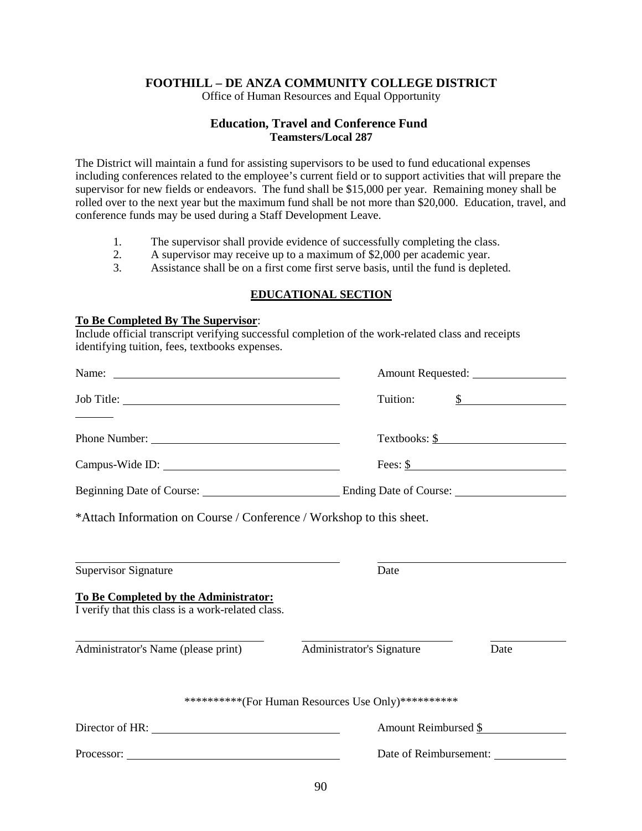# **FOOTHILL – DE ANZA COMMUNITY COLLEGE DISTRICT**

Office of Human Resources and Equal Opportunity

### **Education, Travel and Conference Fund Teamsters/Local 287**

The District will maintain a fund for assisting supervisors to be used to fund educational expenses including conferences related to the employee's current field or to support activities that will prepare the supervisor for new fields or endeavors. The fund shall be \$15,000 per year. Remaining money shall be rolled over to the next year but the maximum fund shall be not more than \$20,000. Education, travel, and conference funds may be used during a Staff Development Leave.

- 1. The supervisor shall provide evidence of successfully completing the class.<br>2. A supervisor may receive up to a maximum of \$2,000 per academic year.
- 2. A supervisor may receive up to a maximum of \$2,000 per academic year.
- 3. Assistance shall be on a first come first serve basis, until the fund is depleted.

# **EDUCATIONAL SECTION**

### **To Be Completed By The Supervisor**:

Include official transcript verifying successful completion of the work-related class and receipts identifying tuition, fees, textbooks expenses.

|                                                                                            | Tuition:                  | $\int$                      |  |  |
|--------------------------------------------------------------------------------------------|---------------------------|-----------------------------|--|--|
|                                                                                            |                           | $Textbooks: \underline{\$}$ |  |  |
|                                                                                            |                           | Fees: $\frac{\ }{3}$        |  |  |
| Beginning Date of Course: Ending Date of Course: ________________________________          |                           |                             |  |  |
| *Attach Information on Course / Conference / Workshop to this sheet.                       |                           |                             |  |  |
| <u> 1989 - Johann Stoff, amerikansk politiker (* 1908)</u><br><b>Supervisor Signature</b>  | Date                      |                             |  |  |
|                                                                                            |                           |                             |  |  |
| To Be Completed by the Administrator:<br>I verify that this class is a work-related class. |                           |                             |  |  |
| Administrator's Name (please print)                                                        | Administrator's Signature | Date                        |  |  |
| ***********(For Human Resources Use Only)***********                                       |                           |                             |  |  |
| Director of HR:                                                                            | Amount Reimbursed \$      |                             |  |  |
|                                                                                            | Date of Reimbursement:    |                             |  |  |